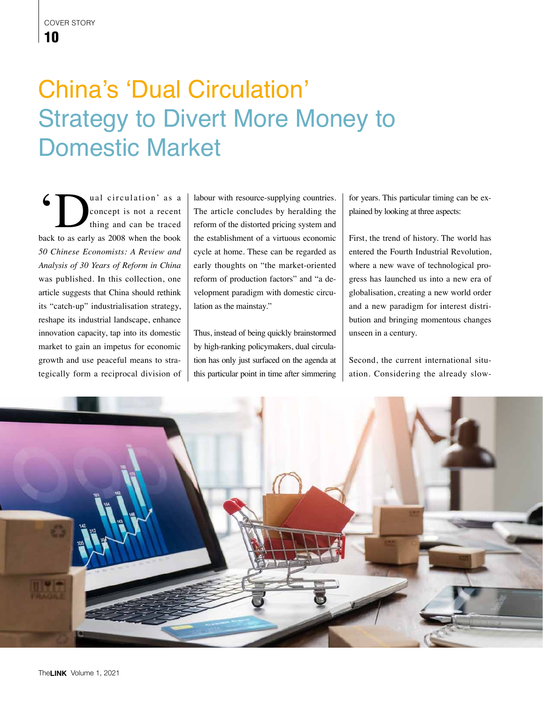## China's 'Dual Circulation' Strategy to Divert More Money to Domestic Market

**6** and circulation' as a concept is not a recent thing and can be traced back to as early as 2008 when the book concept is not a recent thing and can be traced *50 Chinese Economists: A Review and Analysis of 30 Years of Reform in China*  was published. In this collection, one article suggests that China should rethink its "catch-up" industrialisation strategy, reshape its industrial landscape, enhance innovation capacity, tap into its domestic market to gain an impetus for economic growth and use peaceful means to strategically form a reciprocal division of

labour with resource-supplying countries. The article concludes by heralding the reform of the distorted pricing system and the establishment of a virtuous economic cycle at home. These can be regarded as early thoughts on "the market-oriented reform of production factors" and "a development paradigm with domestic circulation as the mainstay."

Thus, instead of being quickly brainstormed by high-ranking policymakers, dual circulation has only just surfaced on the agenda at this particular point in time after simmering for years. This particular timing can be explained by looking at three aspects:

First, the trend of history. The world has entered the Fourth Industrial Revolution, where a new wave of technological progress has launched us into a new era of globalisation, creating a new world order and a new paradigm for interest distribution and bringing momentous changes unseen in a century.

Second, the current international situation. Considering the already slow-